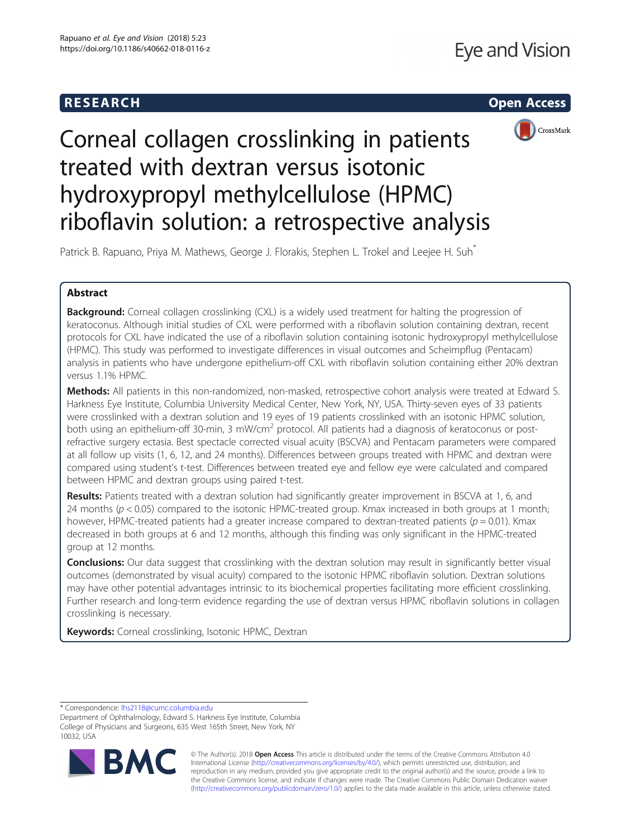



# Corneal collagen crosslinking in patients treated with dextran versus isotonic hydroxypropyl methylcellulose (HPMC) riboflavin solution: a retrospective analysis

Patrick B. Rapuano, Priya M. Mathews, George J. Florakis, Stephen L. Trokel and Leejee H. Suh<sup>\*</sup>

# Abstract

**Background:** Corneal collagen crosslinking (CXL) is a widely used treatment for halting the progression of keratoconus. Although initial studies of CXL were performed with a riboflavin solution containing dextran, recent protocols for CXL have indicated the use of a riboflavin solution containing isotonic hydroxypropyl methylcellulose (HPMC). This study was performed to investigate differences in visual outcomes and Scheimpflug (Pentacam) analysis in patients who have undergone epithelium-off CXL with riboflavin solution containing either 20% dextran versus 1.1% HPMC.

Methods: All patients in this non-randomized, non-masked, retrospective cohort analysis were treated at Edward S. Harkness Eye Institute, Columbia University Medical Center, New York, NY, USA. Thirty-seven eyes of 33 patients were crosslinked with a dextran solution and 19 eyes of 19 patients crosslinked with an isotonic HPMC solution, both using an epithelium-off 30-min, 3 mW/cm<sup>2</sup> protocol. All patients had a diagnosis of keratoconus or postrefractive surgery ectasia. Best spectacle corrected visual acuity (BSCVA) and Pentacam parameters were compared at all follow up visits (1, 6, 12, and 24 months). Differences between groups treated with HPMC and dextran were compared using student's t-test. Differences between treated eye and fellow eye were calculated and compared between HPMC and dextran groups using paired t-test.

Results: Patients treated with a dextran solution had significantly greater improvement in BSCVA at 1, 6, and 24 months ( $p < 0.05$ ) compared to the isotonic HPMC-treated group. Kmax increased in both groups at 1 month; however, HPMC-treated patients had a greater increase compared to dextran-treated patients ( $p = 0.01$ ). Kmax decreased in both groups at 6 and 12 months, although this finding was only significant in the HPMC-treated group at 12 months.

**Conclusions:** Our data suggest that crosslinking with the dextran solution may result in significantly better visual outcomes (demonstrated by visual acuity) compared to the isotonic HPMC riboflavin solution. Dextran solutions may have other potential advantages intrinsic to its biochemical properties facilitating more efficient crosslinking. Further research and long-term evidence regarding the use of dextran versus HPMC riboflavin solutions in collagen crosslinking is necessary.

Keywords: Corneal crosslinking, Isotonic HPMC, Dextran

\* Correspondence: [lhs2118@cumc.columbia.edu](mailto:lhs2118@cumc.columbia.edu)

Department of Ophthalmology, Edward S. Harkness Eye Institute, Columbia College of Physicians and Surgeons, 635 West 165th Street, New York, NY 10032, USA



© The Author(s). 2018 Open Access This article is distributed under the terms of the Creative Commons Attribution 4.0 International License [\(http://creativecommons.org/licenses/by/4.0/](http://creativecommons.org/licenses/by/4.0/)), which permits unrestricted use, distribution, and reproduction in any medium, provided you give appropriate credit to the original author(s) and the source, provide a link to the Creative Commons license, and indicate if changes were made. The Creative Commons Public Domain Dedication waiver [\(http://creativecommons.org/publicdomain/zero/1.0/](http://creativecommons.org/publicdomain/zero/1.0/)) applies to the data made available in this article, unless otherwise stated.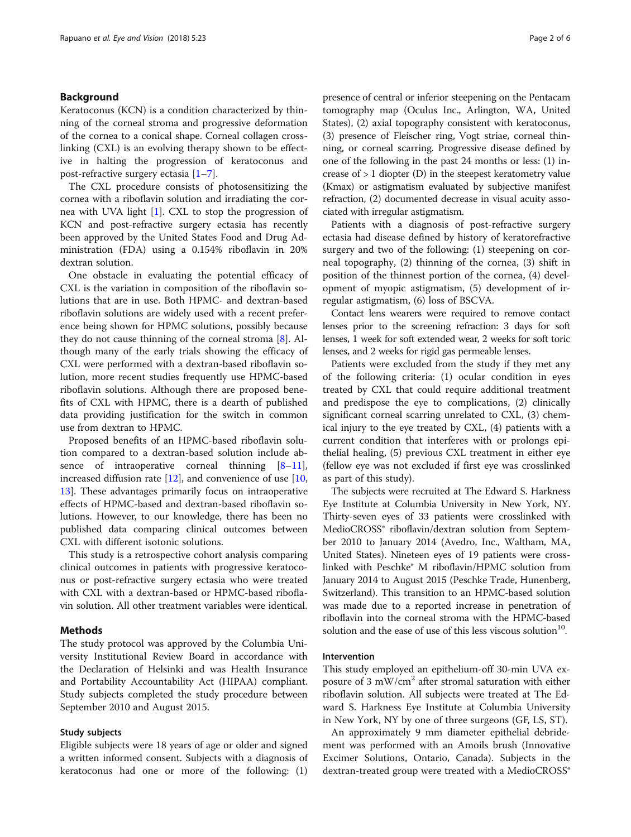# Background

Keratoconus (KCN) is a condition characterized by thinning of the corneal stroma and progressive deformation of the cornea to a conical shape. Corneal collagen crosslinking (CXL) is an evolving therapy shown to be effective in halting the progression of keratoconus and post-refractive surgery ectasia [[1](#page-5-0)–[7](#page-5-0)].

The CXL procedure consists of photosensitizing the cornea with a riboflavin solution and irradiating the cornea with UVA light [\[1](#page-5-0)]. CXL to stop the progression of KCN and post-refractive surgery ectasia has recently been approved by the United States Food and Drug Administration (FDA) using a 0.154% riboflavin in 20% dextran solution.

One obstacle in evaluating the potential efficacy of CXL is the variation in composition of the riboflavin solutions that are in use. Both HPMC- and dextran-based riboflavin solutions are widely used with a recent preference being shown for HPMC solutions, possibly because they do not cause thinning of the corneal stroma [\[8](#page-5-0)]. Although many of the early trials showing the efficacy of CXL were performed with a dextran-based riboflavin solution, more recent studies frequently use HPMC-based riboflavin solutions. Although there are proposed benefits of CXL with HPMC, there is a dearth of published data providing justification for the switch in common use from dextran to HPMC.

Proposed benefits of an HPMC-based riboflavin solution compared to a dextran-based solution include absence of intraoperative corneal thinning  $[8-11]$  $[8-11]$  $[8-11]$  $[8-11]$  $[8-11]$ , increased diffusion rate [\[12](#page-5-0)], and convenience of use [[10](#page-5-0), [13\]](#page-5-0). These advantages primarily focus on intraoperative effects of HPMC-based and dextran-based riboflavin solutions. However, to our knowledge, there has been no published data comparing clinical outcomes between CXL with different isotonic solutions.

This study is a retrospective cohort analysis comparing clinical outcomes in patients with progressive keratoconus or post-refractive surgery ectasia who were treated with CXL with a dextran-based or HPMC-based riboflavin solution. All other treatment variables were identical.

# Methods

The study protocol was approved by the Columbia University Institutional Review Board in accordance with the Declaration of Helsinki and was Health Insurance and Portability Accountability Act (HIPAA) compliant. Study subjects completed the study procedure between September 2010 and August 2015.

# Study subjects

Eligible subjects were 18 years of age or older and signed a written informed consent. Subjects with a diagnosis of keratoconus had one or more of the following: (1) presence of central or inferior steepening on the Pentacam tomography map (Oculus Inc., Arlington, WA, United States), (2) axial topography consistent with keratoconus, (3) presence of Fleischer ring, Vogt striae, corneal thinning, or corneal scarring. Progressive disease defined by one of the following in the past 24 months or less: (1) increase of  $> 1$  diopter (D) in the steepest keratometry value (Kmax) or astigmatism evaluated by subjective manifest refraction, (2) documented decrease in visual acuity associated with irregular astigmatism.

Patients with a diagnosis of post-refractive surgery ectasia had disease defined by history of keratorefractive surgery and two of the following: (1) steepening on corneal topography, (2) thinning of the cornea, (3) shift in position of the thinnest portion of the cornea, (4) development of myopic astigmatism, (5) development of irregular astigmatism, (6) loss of BSCVA.

Contact lens wearers were required to remove contact lenses prior to the screening refraction: 3 days for soft lenses, 1 week for soft extended wear, 2 weeks for soft toric lenses, and 2 weeks for rigid gas permeable lenses.

Patients were excluded from the study if they met any of the following criteria: (1) ocular condition in eyes treated by CXL that could require additional treatment and predispose the eye to complications, (2) clinically significant corneal scarring unrelated to CXL, (3) chemical injury to the eye treated by CXL, (4) patients with a current condition that interferes with or prolongs epithelial healing, (5) previous CXL treatment in either eye (fellow eye was not excluded if first eye was crosslinked as part of this study).

The subjects were recruited at The Edward S. Harkness Eye Institute at Columbia University in New York, NY. Thirty-seven eyes of 33 patients were crosslinked with MedioCROSS® riboflavin/dextran solution from September 2010 to January 2014 (Avedro, Inc., Waltham, MA, United States). Nineteen eyes of 19 patients were crosslinked with Peschke® M riboflavin/HPMC solution from January 2014 to August 2015 (Peschke Trade, Hunenberg, Switzerland). This transition to an HPMC-based solution was made due to a reported increase in penetration of riboflavin into the corneal stroma with the HPMC-based solution and the ease of use of this less viscous solution $10$ .

# Intervention

This study employed an epithelium-off 30-min UVA exposure of 3 mW/cm<sup>2</sup> after stromal saturation with either riboflavin solution. All subjects were treated at The Edward S. Harkness Eye Institute at Columbia University in New York, NY by one of three surgeons (GF, LS, ST).

An approximately 9 mm diameter epithelial debridement was performed with an Amoils brush (Innovative Excimer Solutions, Ontario, Canada). Subjects in the dextran-treated group were treated with a MedioCROSS®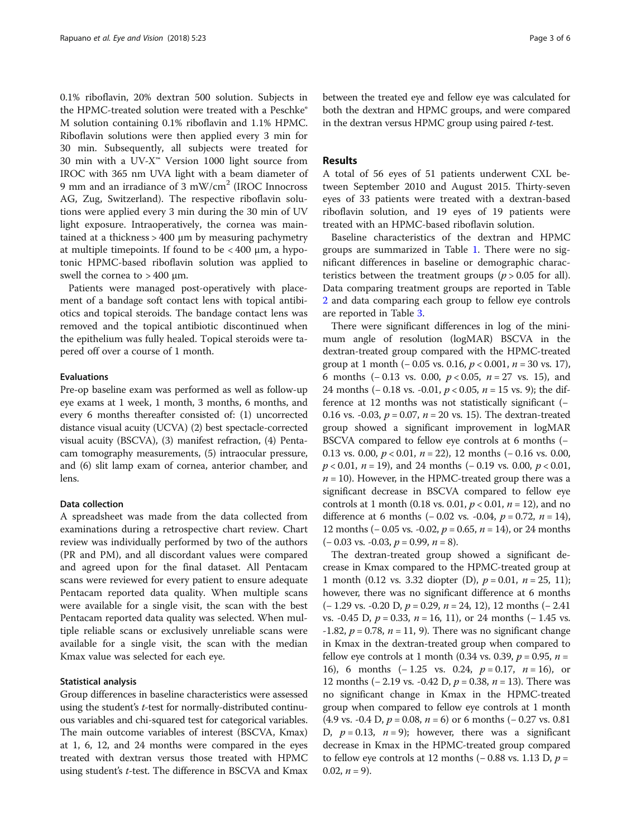0.1% riboflavin, 20% dextran 500 solution. Subjects in the HPMC-treated solution were treated with a Peschke® M solution containing 0.1% riboflavin and 1.1% HPMC. Riboflavin solutions were then applied every 3 min for 30 min. Subsequently, all subjects were treated for 30 min with a UV-X™ Version 1000 light source from IROC with 365 nm UVA light with a beam diameter of 9 mm and an irradiance of 3 mW/cm<sup>2</sup> (IROC Innocross AG, Zug, Switzerland). The respective riboflavin solutions were applied every 3 min during the 30 min of UV light exposure. Intraoperatively, the cornea was maintained at a thickness > 400 μm by measuring pachymetry at multiple timepoints. If found to be  $\langle 400 \mu m, a \hbox{hypo-}$ tonic HPMC-based riboflavin solution was applied to swell the cornea to  $> 400$  µm.

Patients were managed post-operatively with placement of a bandage soft contact lens with topical antibiotics and topical steroids. The bandage contact lens was removed and the topical antibiotic discontinued when the epithelium was fully healed. Topical steroids were tapered off over a course of 1 month.

# Evaluations

Pre-op baseline exam was performed as well as follow-up eye exams at 1 week, 1 month, 3 months, 6 months, and every 6 months thereafter consisted of: (1) uncorrected distance visual acuity (UCVA) (2) best spectacle-corrected visual acuity (BSCVA), (3) manifest refraction, (4) Pentacam tomography measurements, (5) intraocular pressure, and (6) slit lamp exam of cornea, anterior chamber, and lens.

# Data collection

A spreadsheet was made from the data collected from examinations during a retrospective chart review. Chart review was individually performed by two of the authors (PR and PM), and all discordant values were compared and agreed upon for the final dataset. All Pentacam scans were reviewed for every patient to ensure adequate Pentacam reported data quality. When multiple scans were available for a single visit, the scan with the best Pentacam reported data quality was selected. When multiple reliable scans or exclusively unreliable scans were available for a single visit, the scan with the median Kmax value was selected for each eye.

# Statistical analysis

Group differences in baseline characteristics were assessed using the student's t-test for normally-distributed continuous variables and chi-squared test for categorical variables. The main outcome variables of interest (BSCVA, Kmax) at 1, 6, 12, and 24 months were compared in the eyes treated with dextran versus those treated with HPMC using student's t-test. The difference in BSCVA and Kmax between the treated eye and fellow eye was calculated for both the dextran and HPMC groups, and were compared in the dextran versus HPMC group using paired  $t$ -test.

# Results

A total of 56 eyes of 51 patients underwent CXL between September 2010 and August 2015. Thirty-seven eyes of 33 patients were treated with a dextran-based riboflavin solution, and 19 eyes of 19 patients were treated with an HPMC-based riboflavin solution.

Baseline characteristics of the dextran and HPMC groups are summarized in Table [1.](#page-3-0) There were no significant differences in baseline or demographic characteristics between the treatment groups  $(p > 0.05$  for all). Data comparing treatment groups are reported in Table [2](#page-3-0) and data comparing each group to fellow eye controls are reported in Table [3.](#page-4-0)

There were significant differences in log of the minimum angle of resolution (logMAR) BSCVA in the dextran-treated group compared with the HPMC-treated group at 1 month  $(-0.05 \text{ vs. } 0.16, p < 0.001, n = 30 \text{ vs. } 17)$ , 6 months  $(-0.13 \text{ vs. } 0.00, p < 0.05, n = 27 \text{ vs. } 15)$ , and 24 months (− 0.18 vs. -0.01,  $p < 0.05$ ,  $n = 15$  vs. 9); the difference at 12 months was not statistically significant (− 0.16 vs. -0.03,  $p = 0.07$ ,  $n = 20$  vs. 15). The dextran-treated group showed a significant improvement in logMAR BSCVA compared to fellow eye controls at 6 months (− 0.13 vs. 0.00,  $p < 0.01$ ,  $n = 22$ ), 12 months (-0.16 vs. 0.00,  $p < 0.01$ ,  $n = 19$ ), and 24 months (-0.19 vs. 0.00,  $p < 0.01$ ,  $n = 10$ ). However, in the HPMC-treated group there was a significant decrease in BSCVA compared to fellow eye controls at 1 month (0.18 vs. 0.01,  $p < 0.01$ ,  $n = 12$ ), and no difference at 6 months  $(-0.02 \text{ vs. } -0.04, p = 0.72, n = 14)$ , 12 months ( $-0.05$  vs.  $-0.02$ ,  $p = 0.65$ ,  $n = 14$ ), or 24 months  $(-0.03 \text{ vs. } -0.03, p = 0.99, n = 8).$ 

The dextran-treated group showed a significant decrease in Kmax compared to the HPMC-treated group at 1 month (0.12 vs. 3.32 diopter (D),  $p = 0.01$ ,  $n = 25$ , 11); however, there was no significant difference at 6 months  $(-1.29 \text{ vs. } -0.20 \text{ D}, p = 0.29, n = 24, 12)$ , 12 months  $(-2.41)$ vs. -0.45 D,  $p = 0.33$ ,  $n = 16$ , 11), or 24 months (-1.45 vs. -1.82,  $p = 0.78$ ,  $n = 11$ , 9). There was no significant change in Kmax in the dextran-treated group when compared to fellow eye controls at 1 month (0.34 vs. 0.39,  $p = 0.95$ ,  $n =$ 16), 6 months  $(-1.25 \text{ vs. } 0.24, p=0.17, n=16)$ , or 12 months (− 2.19 vs. -0.42 D,  $p = 0.38$ ,  $n = 13$ ). There was no significant change in Kmax in the HPMC-treated group when compared to fellow eye controls at 1 month (4.9 vs. -0.4 D,  $p = 0.08$ ,  $n = 6$ ) or 6 months (-0.27 vs. 0.81 D,  $p = 0.13$ ,  $n = 9$ ); however, there was a significant decrease in Kmax in the HPMC-treated group compared to fellow eye controls at 12 months (− 0.88 vs. 1.13 D,  $p =$ 0.02,  $n = 9$ ).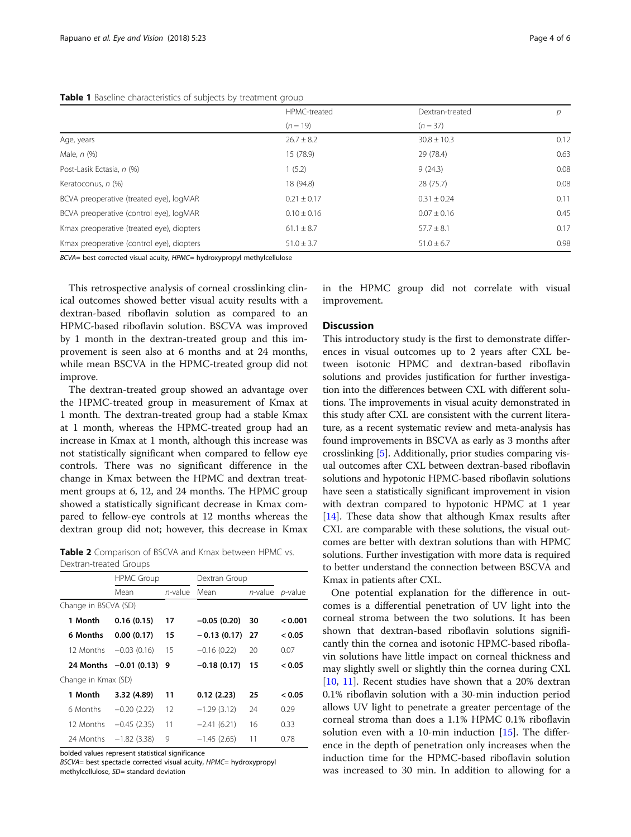# <span id="page-3-0"></span>Table 1 Baseline characteristics of subjects by treatment group

|                                           | HPMC-treated    | Dextran-treated | D    |
|-------------------------------------------|-----------------|-----------------|------|
|                                           | $(n = 19)$      | $(n = 37)$      |      |
| Age, years                                | $26.7 \pm 8.2$  | $30.8 \pm 10.3$ | 0.12 |
| Male, n (%)                               | 15 (78.9)       | 29 (78.4)       | 0.63 |
| Post-Lasik Ectasia, n (%)                 | 1(5.2)          | 9(24.3)         | 0.08 |
| Keratoconus, n (%)                        | 18 (94.8)       | 28(75.7)        | 0.08 |
| BCVA preoperative (treated eye), logMAR   | $0.21 \pm 0.17$ | $0.31 \pm 0.24$ | 0.11 |
| BCVA preoperative (control eye), logMAR   | $0.10 \pm 0.16$ | $0.07 \pm 0.16$ | 0.45 |
| Kmax preoperative (treated eye), diopters | $61.1 \pm 8.7$  | $57.7 \pm 8.1$  | 0.17 |
| Kmax preoperative (control eye), diopters | $51.0 \pm 3.7$  | $51.0 \pm 6.7$  | 0.98 |

BCVA= best corrected visual acuity, HPMC= hydroxypropyl methylcellulose

This retrospective analysis of corneal crosslinking clinical outcomes showed better visual acuity results with a dextran-based riboflavin solution as compared to an HPMC-based riboflavin solution. BSCVA was improved by 1 month in the dextran-treated group and this improvement is seen also at 6 months and at 24 months, while mean BSCVA in the HPMC-treated group did not improve.

The dextran-treated group showed an advantage over the HPMC-treated group in measurement of Kmax at 1 month. The dextran-treated group had a stable Kmax at 1 month, whereas the HPMC-treated group had an increase in Kmax at 1 month, although this increase was not statistically significant when compared to fellow eye controls. There was no significant difference in the change in Kmax between the HPMC and dextran treatment groups at 6, 12, and 24 months. The HPMC group showed a statistically significant decrease in Kmax compared to fellow-eye controls at 12 months whereas the dextran group did not; however, this decrease in Kmax

Table 2 Comparison of BSCVA and Kmax between HPMC vs. Dextran-treated Groups

|                      | <b>HPMC Group</b>      |            | Dextran Group |            |                 |  |  |
|----------------------|------------------------|------------|---------------|------------|-----------------|--|--|
|                      | Mean                   | $n$ -value | Mean          | $n$ -value | <i>p</i> -value |  |  |
| Change in BSCVA (SD) |                        |            |               |            |                 |  |  |
| 1 Month              | 0.16(0.15)             | 17         | $-0.05(0.20)$ | 30         | < 0.001         |  |  |
| 6 Months             | 0.00(0.17)             | 15         | $-0.13(0.17)$ | 27         | < 0.05          |  |  |
| 12 Months            | $-0.03(0.16)$          | 15         | $-0.16(0.22)$ | 20         | 0.07            |  |  |
|                      | 24 Months -0.01 (0.13) | 9          | $-0.18(0.17)$ | 15         | < 0.05          |  |  |
| Change in Kmax (SD)  |                        |            |               |            |                 |  |  |
| 1 Month              | 3.32 (4.89)            | 11         | 0.12(2.23)    | 25         | < 0.05          |  |  |
| 6 Months             | $-0.20(2.22)$          | 12         | $-1.29(3.12)$ | 24         | 0.29            |  |  |
| 12 Months            | $-0.45(2.35)$          | 11         | $-2.41(6.21)$ | 16         | 0.33            |  |  |
| 24 Months            | $-1.82(3.38)$          | 9          | $-1.45(2.65)$ | 11         | 0.78            |  |  |

bolded values represent statistical significance

BSCVA= best spectacle corrected visual acuity, HPMC= hydroxypropyl methylcellulose, SD= standard deviation

in the HPMC group did not correlate with visual improvement.

# **Discussion**

This introductory study is the first to demonstrate differences in visual outcomes up to 2 years after CXL between isotonic HPMC and dextran-based riboflavin solutions and provides justification for further investigation into the differences between CXL with different solutions. The improvements in visual acuity demonstrated in this study after CXL are consistent with the current literature, as a recent systematic review and meta-analysis has found improvements in BSCVA as early as 3 months after crosslinking [\[5](#page-5-0)]. Additionally, prior studies comparing visual outcomes after CXL between dextran-based riboflavin solutions and hypotonic HPMC-based riboflavin solutions have seen a statistically significant improvement in vision with dextran compared to hypotonic HPMC at 1 year [[14](#page-5-0)]. These data show that although Kmax results after CXL are comparable with these solutions, the visual outcomes are better with dextran solutions than with HPMC solutions. Further investigation with more data is required to better understand the connection between BSCVA and Kmax in patients after CXL.

One potential explanation for the difference in outcomes is a differential penetration of UV light into the corneal stroma between the two solutions. It has been shown that dextran-based riboflavin solutions significantly thin the cornea and isotonic HPMC-based riboflavin solutions have little impact on corneal thickness and may slightly swell or slightly thin the cornea during CXL [[10,](#page-5-0) [11](#page-5-0)]. Recent studies have shown that a 20% dextran 0.1% riboflavin solution with a 30-min induction period allows UV light to penetrate a greater percentage of the corneal stroma than does a 1.1% HPMC 0.1% riboflavin solution even with a 10-min induction [\[15](#page-5-0)]. The difference in the depth of penetration only increases when the induction time for the HPMC-based riboflavin solution was increased to 30 min. In addition to allowing for a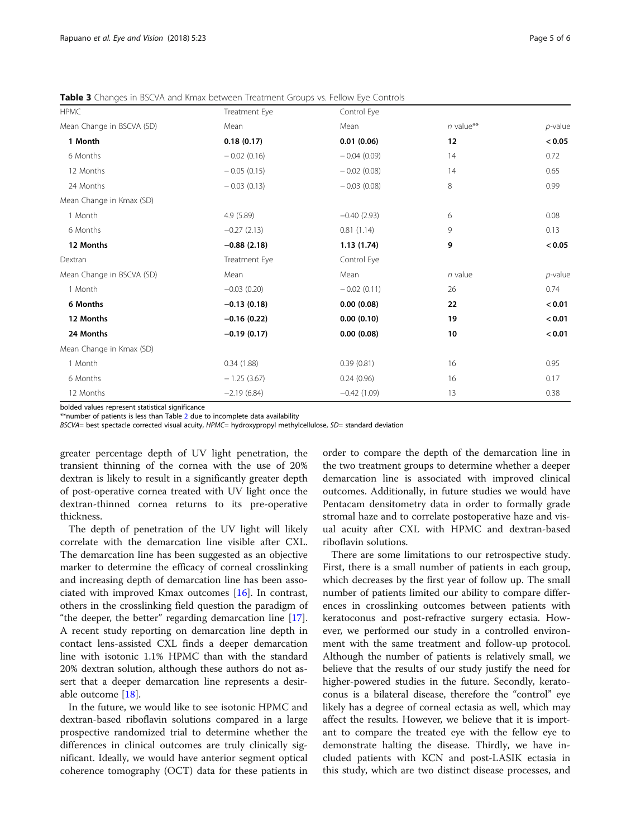<span id="page-4-0"></span>Table 3 Changes in BSCVA and Kmax between Treatment Groups vs. Fellow Eye Controls

| <b>HPMC</b>               | Treatment Eye | Control Eye   |             |            |
|---------------------------|---------------|---------------|-------------|------------|
| Mean Change in BSCVA (SD) | Mean          | Mean          | $n$ value** | $p$ -value |
| 1 Month                   | 0.18(0.17)    | 0.01(0.06)    | 12          | < 0.05     |
| 6 Months                  | $-0.02(0.16)$ | $-0.04(0.09)$ | 14          | 0.72       |
| 12 Months                 | $-0.05(0.15)$ | $-0.02(0.08)$ | 14          | 0.65       |
| 24 Months                 | $-0.03(0.13)$ | $-0.03(0.08)$ | 8           | 0.99       |
| Mean Change in Kmax (SD)  |               |               |             |            |
| 1 Month                   | 4.9 (5.89)    | $-0.40(2.93)$ | 6           | 0.08       |
| 6 Months                  | $-0.27(2.13)$ | 0.81(1.14)    | 9           | 0.13       |
| 12 Months                 | $-0.88(2.18)$ | 1.13(1.74)    | 9           | < 0.05     |
| Dextran                   | Treatment Eye | Control Eye   |             |            |
| Mean Change in BSCVA (SD) | Mean          | Mean          | $n$ value   | $p$ -value |
| 1 Month                   | $-0.03(0.20)$ | $-0.02(0.11)$ | 26          | 0.74       |
| 6 Months                  | $-0.13(0.18)$ | 0.00(0.08)    | 22          | < 0.01     |
| 12 Months                 | $-0.16(0.22)$ | 0.00(0.10)    | 19          | < 0.01     |
| 24 Months                 | $-0.19(0.17)$ | 0.00(0.08)    | 10          | < 0.01     |
| Mean Change in Kmax (SD)  |               |               |             |            |
| 1 Month                   | 0.34(1.88)    | 0.39(0.81)    | 16          | 0.95       |
| 6 Months                  | $-1.25(3.67)$ | 0.24(0.96)    | 16          | 0.17       |
| 12 Months                 | $-2.19(6.84)$ | $-0.42(1.09)$ | 13          | 0.38       |

bolded values represent statistical significance

\*\*number of patients is less than Table [2](#page-3-0) due to incomplete data availability

BSCVA= best spectacle corrected visual acuity, HPMC= hydroxypropyl methylcellulose, SD= standard deviation

greater percentage depth of UV light penetration, the transient thinning of the cornea with the use of 20% dextran is likely to result in a significantly greater depth of post-operative cornea treated with UV light once the dextran-thinned cornea returns to its pre-operative thickness.

The depth of penetration of the UV light will likely correlate with the demarcation line visible after CXL. The demarcation line has been suggested as an objective marker to determine the efficacy of corneal crosslinking and increasing depth of demarcation line has been associated with improved Kmax outcomes [[16](#page-5-0)]. In contrast, others in the crosslinking field question the paradigm of "the deeper, the better" regarding demarcation line [\[17](#page-5-0)]. A recent study reporting on demarcation line depth in contact lens-assisted CXL finds a deeper demarcation line with isotonic 1.1% HPMC than with the standard 20% dextran solution, although these authors do not assert that a deeper demarcation line represents a desirable outcome [[18\]](#page-5-0).

In the future, we would like to see isotonic HPMC and dextran-based riboflavin solutions compared in a large prospective randomized trial to determine whether the differences in clinical outcomes are truly clinically significant. Ideally, we would have anterior segment optical coherence tomography (OCT) data for these patients in order to compare the depth of the demarcation line in the two treatment groups to determine whether a deeper demarcation line is associated with improved clinical outcomes. Additionally, in future studies we would have Pentacam densitometry data in order to formally grade stromal haze and to correlate postoperative haze and visual acuity after CXL with HPMC and dextran-based riboflavin solutions.

There are some limitations to our retrospective study. First, there is a small number of patients in each group, which decreases by the first year of follow up. The small number of patients limited our ability to compare differences in crosslinking outcomes between patients with keratoconus and post-refractive surgery ectasia. However, we performed our study in a controlled environment with the same treatment and follow-up protocol. Although the number of patients is relatively small, we believe that the results of our study justify the need for higher-powered studies in the future. Secondly, keratoconus is a bilateral disease, therefore the "control" eye likely has a degree of corneal ectasia as well, which may affect the results. However, we believe that it is important to compare the treated eye with the fellow eye to demonstrate halting the disease. Thirdly, we have included patients with KCN and post-LASIK ectasia in this study, which are two distinct disease processes, and